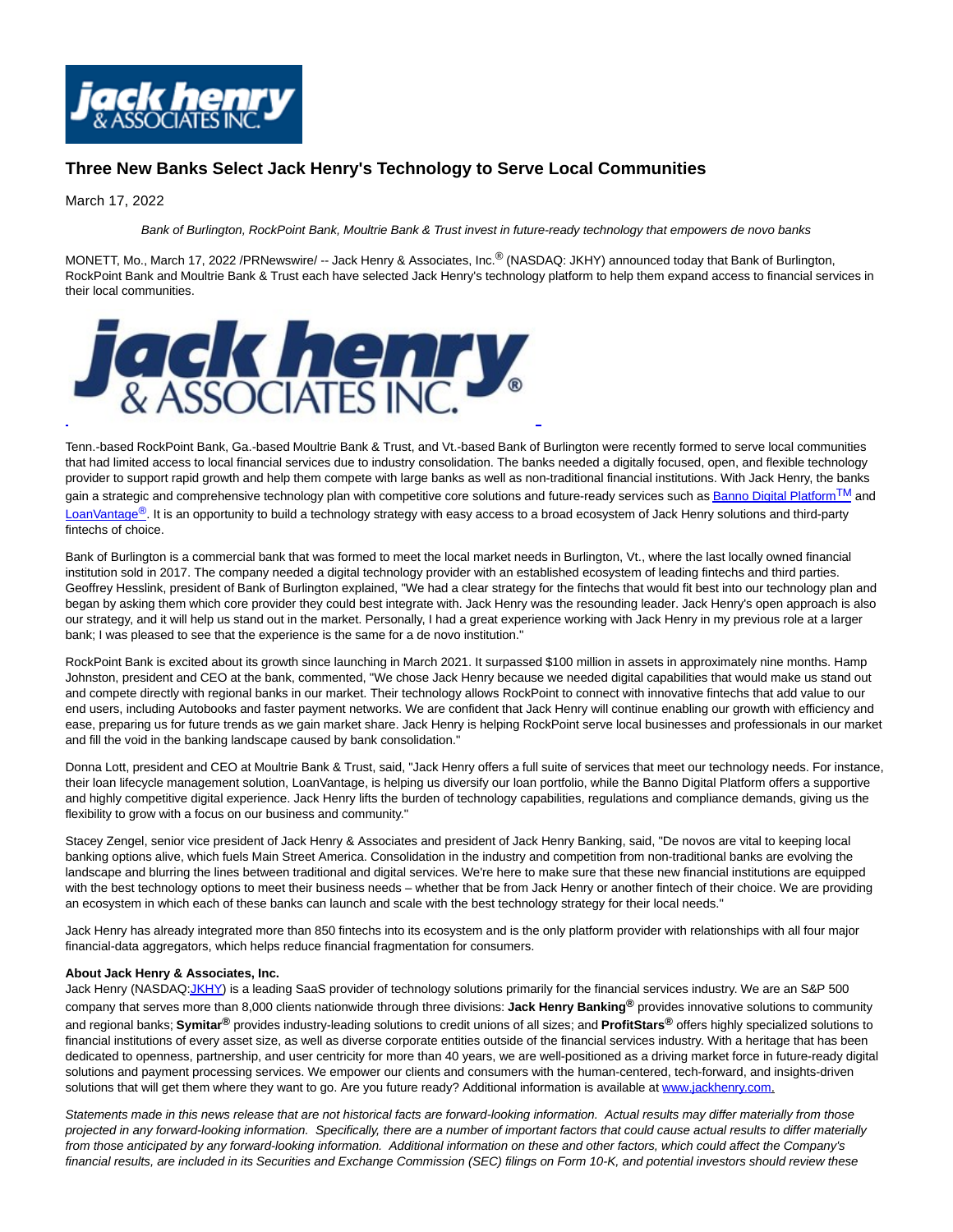

## **Three New Banks Select Jack Henry's Technology to Serve Local Communities**

## March 17, 2022

Bank of Burlington, RockPoint Bank, Moultrie Bank & Trust invest in future-ready technology that empowers de novo banks

MONETT, Mo., March 17, 2022 /PRNewswire/ -- Jack Henry & Associates, Inc.® (NASDAQ: JKHY) announced today that Bank of Burlington, RockPoint Bank and Moultrie Bank & Trust each have selected Jack Henry's technology platform to help them expand access to financial services in their local communities.



Tenn.-based RockPoint Bank, Ga.-based Moultrie Bank & Trust, and Vt.-based Bank of Burlington were recently formed to serve local communities that had limited access to local financial services due to industry consolidation. The banks needed a digitally focused, open, and flexible technology provider to support rapid growth and help them compete with large banks as well as non-traditional financial institutions. With Jack Henry, the banks gain a strategic and comprehensive technology plan with competitive core solutions and future-ready services such a[s Banno Digital Platform](https://c212.net/c/link/?t=0&l=en&o=3476081-1&h=892786648&u=https%3A%2F%2Fwww.jackhenrybanking.com%2Fonline-and-mobile%2Fbanno-digital-banking-suite%2Fpages%2Fdefault.aspx&a=Banno+Digital+PlatformTM)<sup>TM</sup> and [LoanVantage](https://c212.net/c/link/?t=0&l=en&o=3476081-1&h=2762388100&u=https%3A%2F%2Fwww.jackhenry.com%2Fjack-henry-lending%2Fconsumer-loans%2Fpages%2Floanvantage.aspx&a=LoanVantage%C2%AE)<sup>®</sup>. It is an opportunity to build a technology strategy with easy access to a broad ecosystem of Jack Henry solutions and third-party fintechs of choice.

Bank of Burlington is a commercial bank that was formed to meet the local market needs in Burlington, Vt., where the last locally owned financial institution sold in 2017. The company needed a digital technology provider with an established ecosystem of leading fintechs and third parties. Geoffrey Hesslink, president of Bank of Burlington explained, "We had a clear strategy for the fintechs that would fit best into our technology plan and began by asking them which core provider they could best integrate with. Jack Henry was the resounding leader. Jack Henry's open approach is also our strategy, and it will help us stand out in the market. Personally, I had a great experience working with Jack Henry in my previous role at a larger bank; I was pleased to see that the experience is the same for a de novo institution."

RockPoint Bank is excited about its growth since launching in March 2021. It surpassed \$100 million in assets in approximately nine months. Hamp Johnston, president and CEO at the bank, commented, "We chose Jack Henry because we needed digital capabilities that would make us stand out and compete directly with regional banks in our market. Their technology allows RockPoint to connect with innovative fintechs that add value to our end users, including Autobooks and faster payment networks. We are confident that Jack Henry will continue enabling our growth with efficiency and ease, preparing us for future trends as we gain market share. Jack Henry is helping RockPoint serve local businesses and professionals in our market and fill the void in the banking landscape caused by bank consolidation."

Donna Lott, president and CEO at Moultrie Bank & Trust, said, "Jack Henry offers a full suite of services that meet our technology needs. For instance, their loan lifecycle management solution, LoanVantage, is helping us diversify our loan portfolio, while the Banno Digital Platform offers a supportive and highly competitive digital experience. Jack Henry lifts the burden of technology capabilities, regulations and compliance demands, giving us the flexibility to grow with a focus on our business and community."

Stacey Zengel, senior vice president of Jack Henry & Associates and president of Jack Henry Banking, said, "De novos are vital to keeping local banking options alive, which fuels Main Street America. Consolidation in the industry and competition from non-traditional banks are evolving the landscape and blurring the lines between traditional and digital services. We're here to make sure that these new financial institutions are equipped with the best technology options to meet their business needs – whether that be from Jack Henry or another fintech of their choice. We are providing an ecosystem in which each of these banks can launch and scale with the best technology strategy for their local needs."

Jack Henry has already integrated more than 850 fintechs into its ecosystem and is the only platform provider with relationships with all four major financial-data aggregators, which helps reduce financial fragmentation for consumers.

## **About Jack Henry & Associates, Inc.**

Jack Henry (NASDA[Q:JKHY\)](https://c212.net/c/link/?t=0&l=en&o=3476081-1&h=2917328970&u=http%3A%2F%2Fwww.nasdaq.com%2Fsymbol%2Fjkhy&a=JKHY) is a leading SaaS provider of technology solutions primarily for the financial services industry. We are an S&P 500 company that serves more than 8,000 clients nationwide through three divisions: **Jack Henry Banking®** provides innovative solutions to community and regional banks; **Symitar®** provides industry-leading solutions to credit unions of all sizes; and **ProfitStars®** offers highly specialized solutions to financial institutions of every asset size, as well as diverse corporate entities outside of the financial services industry. With a heritage that has been dedicated to openness, partnership, and user centricity for more than 40 years, we are well-positioned as a driving market force in future-ready digital solutions and payment processing services. We empower our clients and consumers with the human-centered, tech-forward, and insights-driven solutions that will get them where they want to go. Are you future ready? Additional information is available at [www.jackhenry.com.](https://c212.net/c/link/?t=0&l=en&o=3476081-1&h=2017302794&u=http%3A%2F%2Fwww.jackhenry.com%2F&a=www.jackhenry.com)

Statements made in this news release that are not historical facts are forward-looking information. Actual results may differ materially from those projected in any forward-looking information. Specifically, there are a number of important factors that could cause actual results to differ materially from those anticipated by any forward-looking information. Additional information on these and other factors, which could affect the Company's financial results, are included in its Securities and Exchange Commission (SEC) filings on Form 10-K, and potential investors should review these